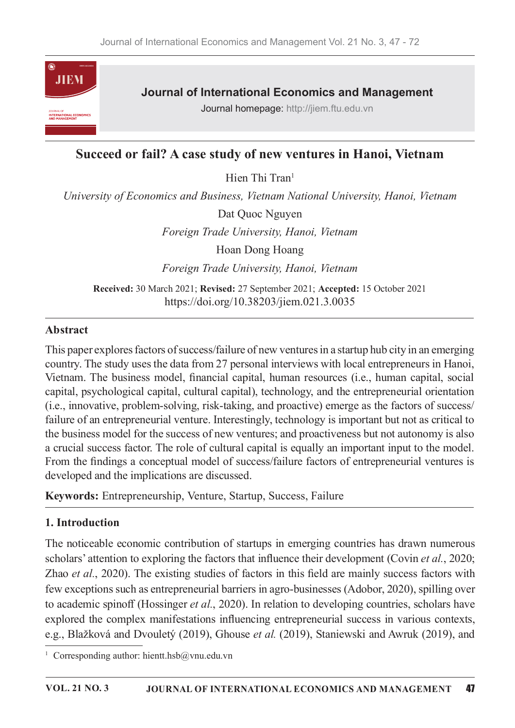

# Succeed or fail? A case study of new ventures in Hanoi, Vietnam

Hien Thi Tran<sup>1</sup> University of Economics and Business, Vietnam National University, Hanoi, Vietnam Dat Quoc Nguyen Foreign Trade University, Hanoi, Vietnam **Hoan Dong Hoang** Foreign Trade University, Hanoi, Vietnam

Received: 30 March 2021; Revised: 27 September 2021; Accepted: 15 October 2021 https://doi.org/10.38203/jiem.021.3.0035

### **Abstract**

This paper explores factors of success/failure of new ventures in a startup hub city in an emerging country. The study uses the data from 27 personal interviews with local entrepreneurs in Hanoi, Vietnam. The business model, financial capital, human resources (i.e., human capital, social capital, psychological capital, cultural capital), technology, and the entrepreneurial orientation (i.e., innovative, problem-solving, risk-taking, and proactive) emerge as the factors of success/ failure of an entrepreneurial venture. Interestingly, technology is important but not as critical to the business model for the success of new ventures; and proactiveness but not autonomy is also a crucial success factor. The role of cultural capital is equally an important input to the model. From the findings a conceptual model of success/failure factors of entrepreneurial ventures is developed and the implications are discussed.

Keywords: Entrepreneurship, Venture, Startup, Success, Failure

### 1. Introduction

The noticeable economic contribution of startups in emerging countries has drawn numerous scholars' attention to exploring the factors that influence their development (Covin et al., 2020; Zhao et al., 2020). The existing studies of factors in this field are mainly success factors with few exceptions such as entrepreneurial barriers in agro-businesses (Adobor, 2020), spilling over to academic spinoff (Hossinger et al., 2020). In relation to developing countries, scholars have explored the complex manifestations influencing entrepreneurial success in various contexts, e.g., Blažková and Dvouletý (2019), Ghouse et al. (2019), Staniewski and Awruk (2019), and

<sup>&</sup>lt;sup>1</sup> Corresponding author: hientt.hsb@vnu.edu.vn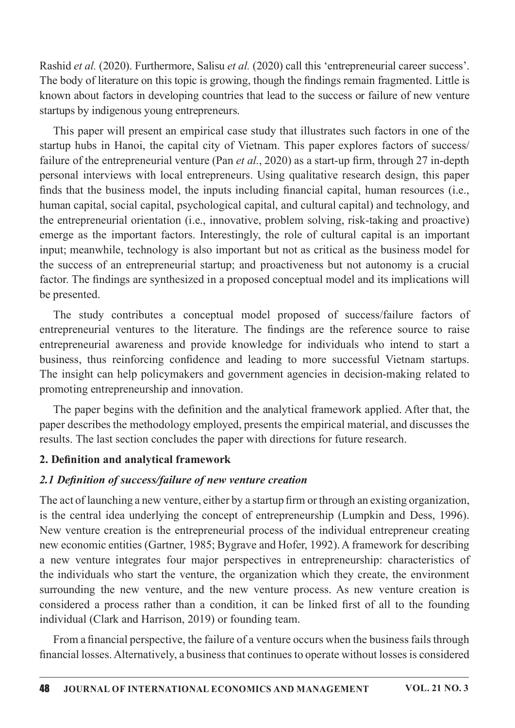Rashid et al. (2020). Furthermore, Salisu et al. (2020) call this 'entrepreneurial career success'. The body of literature on this topic is growing, though the findings remain fragmented. Little is known about factors in developing countries that lead to the success or failure of new venture startups by indigenous young entrepreneurs.

This paper will present an empirical case study that illustrates such factors in one of the startup hubs in Hanoi, the capital city of Vietnam. This paper explores factors of success/ failure of the entrepreneurial venture (Pan *et al.*, 2020) as a start-up firm, through 27 in-depth personal interviews with local entrepreneurs. Using qualitative research design, this paper finds that the business model, the inputs including financial capital, human resources (i.e., human capital, social capital, psychological capital, and cultural capital) and technology, and the entrepreneurial orientation (i.e., innovative, problem solving, risk-taking and proactive) emerge as the important factors. Interestingly, the role of cultural capital is an important input; meanwhile, technology is also important but not as critical as the business model for the success of an entrepreneurial startup; and proactiveness but not autonomy is a crucial factor. The findings are synthesized in a proposed conceptual model and its implications will be presented.

The study contributes a conceptual model proposed of success/failure factors of entrepreneurial ventures to the literature. The findings are the reference source to raise entrepreneurial awareness and provide knowledge for individuals who intend to start a business, thus reinforcing confidence and leading to more successful Vietnam startups. The insight can help policymakers and government agencies in decision-making related to promoting entrepreneurship and innovation.

The paper begins with the definition and the analytical framework applied. After that, the paper describes the methodology employed, presents the empirical material, and discusses the results. The last section concludes the paper with directions for future research.

#### 2. Definition and analytical framework

#### 2.1 Definition of success/failure of new venture creation

The act of launching a new venture, either by a startup firm or through an existing organization, is the central idea underlying the concept of entrepreneurship (Lumpkin and Dess, 1996). New venture creation is the entrepreneurial process of the individual entrepreneur creating new economic entities (Gartner, 1985; Bygrave and Hofer, 1992). A framework for describing a new venture integrates four major perspectives in entrepreneurship: characteristics of the individuals who start the venture, the organization which they create, the environment surrounding the new venture, and the new venture process. As new venture creation is considered a process rather than a condition, it can be linked first of all to the founding individual (Clark and Harrison, 2019) or founding team.

From a financial perspective, the failure of a venture occurs when the business fails through financial losses. Alternatively, a business that continues to operate without losses is considered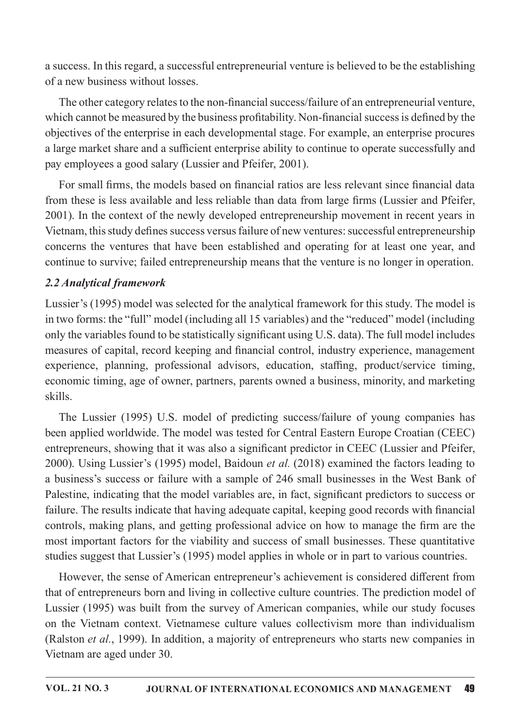a success. In this regard, a successful entrepreneurial venture is believed to be the establishing of a new business without losses.

The other category relates to the non-financial success/failure of an entrepreneurial venture, which cannot be measured by the business profitability. Non-financial success is defined by the objectives of the enterprise in each developmental stage. For example, an enterprise procures a large market share and a sufficient enterprise ability to continue to operate successfully and pay employees a good salary (Lussier and Pfeifer, 2001).

For small firms, the models based on financial ratios are less relevant since financial data from these is less available and less reliable than data from large firms (Lussier and Pfeifer, 2001). In the context of the newly developed entrepreneurship movement in recent years in Vietnam, this study defines success versus failure of new ventures: successful entrepreneurship concerns the ventures that have been established and operating for at least one year, and continue to survive; failed entrepreneurship means that the venture is no longer in operation.

### 2.2 Analytical framework

Lussier's (1995) model was selected for the analytical framework for this study. The model is in two forms: the "full" model (including all 15 variables) and the "reduced" model (including only the variables found to be statistically significant using U.S. data). The full model includes measures of capital, record keeping and financial control, industry experience, management experience, planning, professional advisors, education, staffing, product/service timing, economic timing, age of owner, partners, parents owned a business, minority, and marketing skills.

The Lussier (1995) U.S. model of predicting success/failure of young companies has been applied worldwide. The model was tested for Central Eastern Europe Croatian (CEEC) entrepreneurs, showing that it was also a significant predictor in CEEC (Lussier and Pfeifer, 2000). Using Lussier's (1995) model, Baidoun et al. (2018) examined the factors leading to a business's success or failure with a sample of 246 small businesses in the West Bank of Palestine, indicating that the model variables are, in fact, significant predictors to success or failure. The results indicate that having adequate capital, keeping good records with financial controls, making plans, and getting professional advice on how to manage the firm are the most important factors for the viability and success of small businesses. These quantitative studies suggest that Lussier's (1995) model applies in whole or in part to various countries.

However, the sense of American entrepreneur's achievement is considered different from that of entrepreneurs born and living in collective culture countries. The prediction model of Lussier (1995) was built from the survey of American companies, while our study focuses on the Vietnam context. Vietnamese culture values collectivism more than individualism (Ralston et al., 1999). In addition, a majority of entrepreneurs who starts new companies in Vietnam are aged under 30.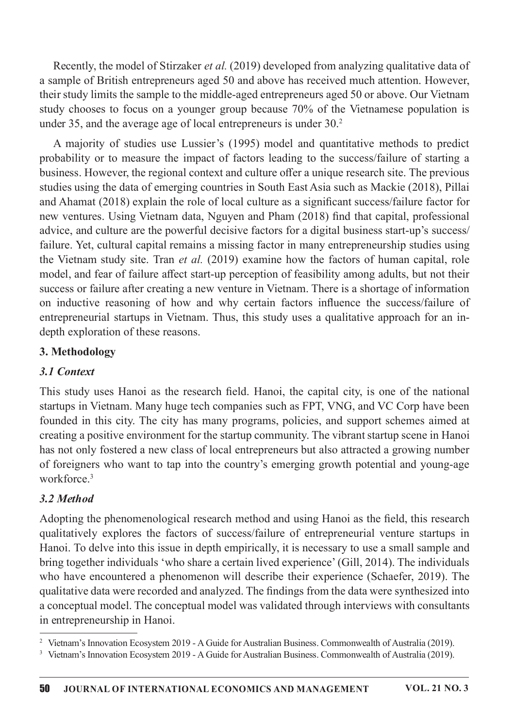Recently, the model of Stirzaker et al. (2019) developed from analyzing qualitative data of a sample of British entrepreneurs aged 50 and above has received much attention. However, their study limits the sample to the middle-aged entrepreneurs aged 50 or above. Our Vietnam study chooses to focus on a younger group because 70% of the Vietnamese population is under 35, and the average age of local entrepreneurs is under 30.<sup>2</sup>

A majority of studies use Lussier's (1995) model and quantitative methods to predict probability or to measure the impact of factors leading to the success/failure of starting a business. However, the regional context and culture offer a unique research site. The previous studies using the data of emerging countries in South East Asia such as Mackie (2018), Pillai and Ahamat (2018) explain the role of local culture as a significant success/failure factor for new ventures. Using Vietnam data, Nguyen and Pham (2018) find that capital, professional advice, and culture are the powerful decisive factors for a digital business start-up's success/ failure. Yet, cultural capital remains a missing factor in many entrepreneurship studies using the Vietnam study site. Tran et al. (2019) examine how the factors of human capital, role model, and fear of failure affect start-up perception of feasibility among adults, but not their success or failure after creating a new venture in Vietnam. There is a shortage of information on inductive reasoning of how and why certain factors influence the success/failure of entrepreneurial startups in Vietnam. Thus, this study uses a qualitative approach for an indepth exploration of these reasons.

### 3. Methodology

### 3.1 Context

This study uses Hanoi as the research field. Hanoi, the capital city, is one of the national startups in Vietnam. Many huge tech companies such as FPT, VNG, and VC Corp have been founded in this city. The city has many programs, policies, and support schemes aimed at creating a positive environment for the startup community. The vibrant startup scene in Hanoi has not only fostered a new class of local entrepreneurs but also attracted a growing number of foreigners who want to tap into the country's emerging growth potential and young-age workforce  $3$ 

## 3.2 Method

Adopting the phenomenological research method and using Hanoi as the field, this research qualitatively explores the factors of success/failure of entrepreneurial venture startups in Hanoi. To delve into this issue in depth empirically, it is necessary to use a small sample and bring together individuals 'who share a certain lived experience' (Gill, 2014). The individuals who have encountered a phenomenon will describe their experience (Schaefer, 2019). The qualitative data were recorded and analyzed. The findings from the data were synthesized into a conceptual model. The conceptual model was validated through interviews with consultants in entrepreneurship in Hanoi.

Vietnam's Innovation Ecosystem 2019 - A Guide for Australian Business. Commonwealth of Australia (2019).

<sup>&</sup>lt;sup>3</sup> Vietnam's Innovation Ecosystem 2019 - A Guide for Australian Business. Commonwealth of Australia (2019).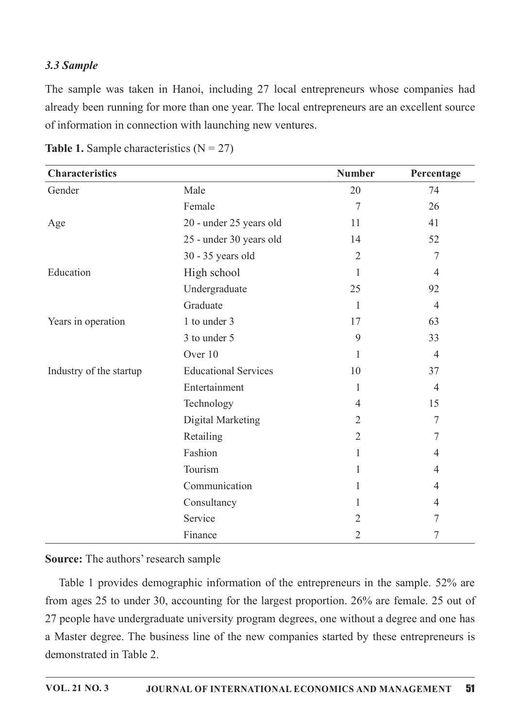#### 3.3Sample

The sample was taken in Hanoi, including 27 local entrepreneurs whose companies had already been running for more than one year. The local entrepreneurs are an excellent source of information in connection with launching new ventures.

| <b>Characteristics</b>  |                             | <b>Number</b>  | Percentage     |
|-------------------------|-----------------------------|----------------|----------------|
| Gender                  | Male                        | 20             | 74             |
|                         | Female                      | $\overline{7}$ | 26             |
| Age                     | 20 - under 25 years old     | 11             | 41             |
|                         | 25 - under 30 years old     | 14             | 52             |
|                         | 30 - 35 years old           | $\overline{2}$ | 7              |
| Education               | High school                 | 1              | $\overline{4}$ |
|                         | Undergraduate               | 25             | 92             |
|                         | Graduate                    | $\mathbf{1}$   | $\overline{4}$ |
| Years in operation      | 1 to under 3                | 17             | 63             |
|                         | 3 to under 5                | 9              | 33             |
|                         | Over 10                     | 1              | $\overline{4}$ |
| Industry of the startup | <b>Educational Services</b> | 10             | 37             |
|                         | Entertainment               | $\mathbf{1}$   | $\overline{4}$ |
|                         | Technology                  | $\overline{4}$ | 15             |
|                         | Digital Marketing           | $\overline{2}$ | 7              |
|                         | Retailing                   | $\overline{2}$ | 7              |
|                         | Fashion                     | $\mathbf{1}$   | $\overline{4}$ |
|                         | Tourism                     | 1              | $\overline{4}$ |
|                         | Communication               | 1              | $\overline{4}$ |
|                         | Consultancy                 | $\mathbf{1}$   | $\overline{4}$ |
|                         | Service                     | $\overline{2}$ | $\overline{7}$ |
|                         | Finance                     | $\overline{2}$ | 7              |

Table 1. Sample characteristics  $(N = 27)$ 

Source: The authors' research sample

Table 1 provides demographic information of the entrepreneurs in the sample. 52% are from ages 25 to under 30, accounting for the largest proportion.  $26\%$  are female. 25 out of 27 people have undergraduate university program degrees, one without a degree and one has a Master degree. The business line of the new companies started by these entrepreneurs is demonstrated in Table 2.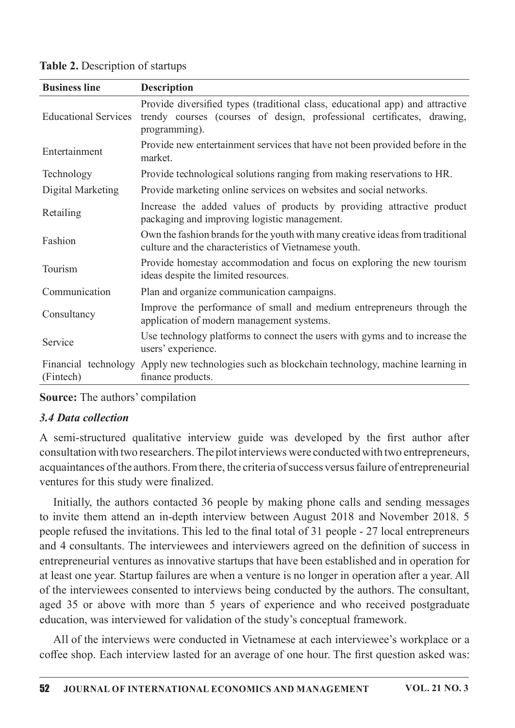| <b>Business line</b>        | <b>Description</b>                                                                                                                                                       |  |
|-----------------------------|--------------------------------------------------------------------------------------------------------------------------------------------------------------------------|--|
| <b>Educational Services</b> | Provide diversified types (traditional class, educational app) and attractive<br>trendy courses (courses of design, professional certificates, drawing,<br>programming). |  |
| Entertainment               | Provide new entertainment services that have not been provided before in the<br>market.                                                                                  |  |
| Technology                  | Provide technological solutions ranging from making reservations to HR.                                                                                                  |  |
| Digital Marketing           | Provide marketing online services on websites and social networks.                                                                                                       |  |
| Retailing                   | Increase the added values of products by providing attractive product<br>packaging and improving logistic management.                                                    |  |
| Fashion                     | Own the fashion brands for the youth with many creative ideas from traditional<br>culture and the characteristics of Vietnamese youth.                                   |  |
| Tourism                     | Provide homestay accommodation and focus on exploring the new tourism<br>ideas despite the limited resources.                                                            |  |
| Communication               | Plan and organize communication campaigns.                                                                                                                               |  |
| Consultancy                 | Improve the performance of small and medium entrepreneurs through the<br>application of modern management systems.                                                       |  |
| Service                     | Use technology platforms to connect the users with gyms and to increase the<br>users' experience.                                                                        |  |
| (Fintech)                   | Financial technology Apply new technologies such as blockchain technology, machine learning in<br>finance products.                                                      |  |

Table 2. Description of startups

**Source:** The authors' compilation

#### 3.4 Data collection

A semi-structured qualitative interview guide was developed by the first author after consultation with two researchers. The pilot interviews were conducted with two entrepreneurs, acquaintances of the authors. From there, the criteria of success versus failure of entrepreneurial ventures for this study were finalized.

Initially, the authors contacted 36 people by making phone calls and sending messages to invite them attend an in-depth interview between August 2018 and November 2018. 5 people refused the invitations. This led to the final total of 31 people - 27 local entrepreneurs and 4 consultants. The interviewees and interviewers agreed on the definition of success in entrepreneurial ventures as innovative startups that have been established and in operation for at least one year. Startup failures are when a venture is no longer in operation after a year. All of the interviewees consented to interviews being conducted by the authors. The consultant, aged 35 or above with more than 5 years of experience and who received postgraduate education, was interviewed for validation of the study's conceptual framework.

All of the interviews were conducted in Vietnamese at each interviewee's workplace or a coffee shop. Each interview lasted for an average of one hour. The first question asked was: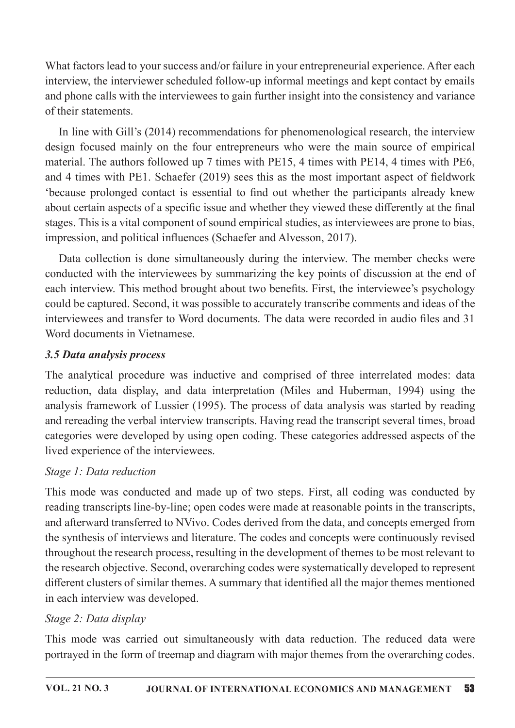What factors lead to your success and/or failure in your entrepreneurial experience. After each interview, the interviewer scheduled follow-up informal meetings and kept contact by emails and phone calls with the interviewees to gain further insight into the consistency and variance of their statements.

In line with Gill's (2014) recommendations for phenomenological research, the interview design focused mainly on the four entrepreneurs who were the main source of empirical material. The authors followed up 7 times with PE15, 4 times with PE14, 4 times with PE6, and 4 times with PE1. Schaefer  $(2019)$  sees this as the most important aspect of fieldwork 'because prolonged contact is essential to find out whether the participants already knew about certain aspects of a specific issue and whether they viewed these differently at the final stages. This is a vital component of sound empirical studies, as interviewees are prone to bias, impression, and political influences (Schaefer and Alvesson, 2017).

Data collection is done simultaneously during the interview. The member checks were conducted with the interviewees by summarizing the key points of discussion at the end of each interview. This method brought about two benefits. First, the interviewee's psychology could be captured. Second, it was possible to accurately transcribe comments and ideas of the interviewees and transfer to Word documents. The data were recorded in audio files and 31 Word documents in Vietnamese.

### 3.5 Data analysis process

The analytical procedure was inductive and comprised of three interrelated modes: data reduction, data display, and data interpretation (Miles and Huberman, 1994) using the analysis framework of Lussier (1995). The process of data analysis was started by reading and rereading the verbal interview transcripts. Having read the transcript several times, broad categories were developed by using open coding. These categories addressed aspects of the lived experience of the interviewees.

## Stage 1: Data reduction

This mode was conducted and made up of two steps. First, all coding was conducted by reading transcripts line-by-line; open codes were made at reasonable points in the transcripts, and afterward transferred to NVivo. Codes derived from the data, and concepts emerged from the synthesis of interviews and literature. The codes and concepts were continuously revised throughout the research process, resulting in the development of themes to be most relevant to the research objective. Second, overarching codes were systematically developed to represent different clusters of similar themes. A summary that identified all the major themes mentioned in each interview was developed.

## Stage  $2$ : Data display

This mode was carried out simultaneously with data reduction. The reduced data were portrayed in the form of treemap and diagram with major themes from the overarching codes.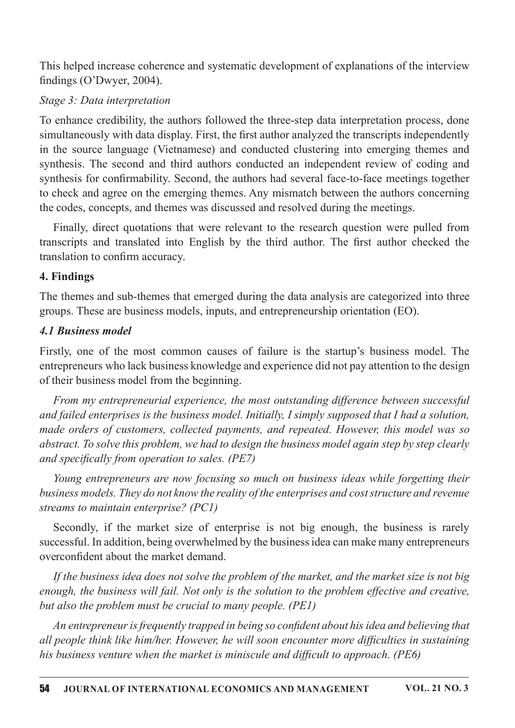This helped increase coherence and systematic development of explanations of the interview findings (O'Dwyer, 2004).

### Stage 3: Data interpretation

To enhance credibility, the authors followed the three-step data interpretation process, done simultaneously with data display. First, the first author analyzed the transcripts independently in the source language (Vietnamese) and conducted clustering into emerging themes and synthesis. The second and third authors conducted an independent review of coding and synthesis for confirmability. Second, the authors had several face-to-face meetings together to check and agree on the emerging themes. Any mismatch between the authors concerning the codes, concepts, and themes was discussed and resolved during the meetings.

Finally, direct quotations that were relevant to the research question were pulled from transcripts and translated into English by the third author. The first author checked the translation to confirm accuracy.

### 4. Findings

The themes and sub-themes that emerged during the data analysis are categorized into three groups. These are business models, inputs, and entrepreneurship orientation (EO).

## **4.1 Business model**

Firstly, one of the most common causes of failure is the startup's business model. The entrepreneurs who lack business knowledge and experience did not pay attention to the design of their business model from the beginning.

From my entrepreneurial experience, the most outstanding difference between successful and failed enterprises is the business model. Initially, I simply supposed that I had a solution, made orders of customers, collected payments, and repeated. However, this model was so abstract. To solve this problem, we had to design the business model again step by step clearly and specifically from operation to sales. (PE7)

Young entrepreneurs are now focusing so much on business ideas while forgetting their business models. They do not know the reality of the enterprises and cost structure and revenue streams to maintain enterprise? (PC1)

Secondly, if the market size of enterprise is not big enough, the business is rarely successful. In addition, being overwhelmed by the business idea can make many entrepreneurs overconfident about the market demand.

If the business idea does not solve the problem of the market, and the market size is not big enough, the business will fail. Not only is the solution to the problem effective and creative, but also the problem must be crucial to many people. (PE1)

An entrepreneur is frequently trapped in being so confident about his idea and believing that all people think like him/her. However, he will soon encounter more difficulties in sustaining his business venture when the market is miniscule and difficult to approach. (PE6)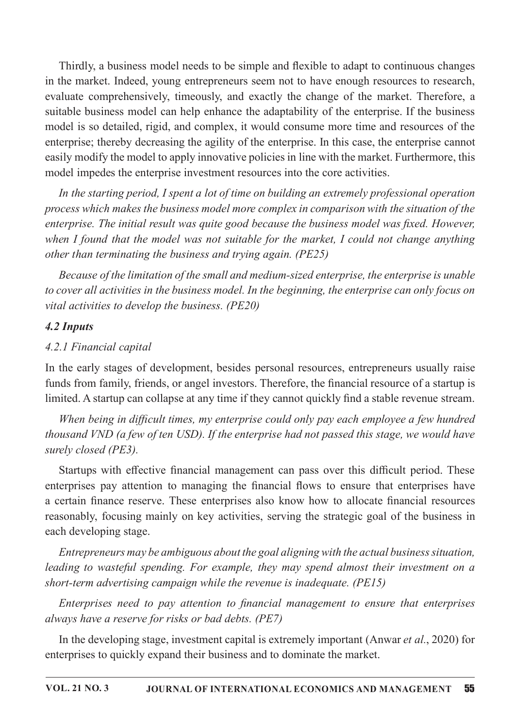Thirdly, a business model needs to be simple and flexible to adapt to continuous changes in the market. Indeed, young entrepreneurs seem not to have enough resources to research, evaluate comprehensively, timeously, and exactly the change of the market. Therefore, a suitable business model can help enhance the adaptability of the enterprise. If the business model is so detailed, rigid, and complex, it would consume more time and resources of the enterprise; thereby decreasing the agility of the enterprise. In this case, the enterprise cannot easily modify the model to apply innovative policies in line with the market. Furthermore, this model impedes the enterprise investment resources into the core activities.

In the starting period, I spent a lot of time on building an extremely professional operation process which makes the business model more complex in comparison with the situation of the enterprise. The initial result was quite good because the business model was fixed. However, when I found that the model was not suitable for the market, I could not change anything other than terminating the business and trying again. (PE25)

Because of the limitation of the small and medium-sized enterprise, the enterprise is unable to cover all activities in the business model. In the beginning, the enterprise can only focus on vital activities to develop the business.  $(PE20)$ 

### 4.2 Inputs

### 4.2.1 Financial capital

In the early stages of development, besides personal resources, entrepreneurs usually raise funds from family, friends, or angel investors. Therefore, the financial resource of a startup is limited. A startup can collapse at any time if they cannot quickly find a stable revenue stream.

When being in difficult times, my enterprise could only pay each employee a few hundred thousand VND (a few of ten USD). If the enterprise had not passed this stage, we would have surely closed (PE3).

Startups with effective financial management can pass over this difficult period. These enterprises pay attention to managing the financial flows to ensure that enterprises have a certain finance reserve. These enterprises also know how to allocate financial resources reasonably, focusing mainly on key activities, serving the strategic goal of the business in each developing stage.

Entrepreneurs may be ambiguous about the goal aligning with the actual business situation, leading to wasteful spending. For example, they may spend almost their investment on a short-term advertising campaign while the revenue is inadequate. (PE15)

Enterprises need to pay attention to financial management to ensure that enterprises always have a reserve for risks or bad debts. (PE7)

In the developing stage, investment capital is extremely important (Anwar et al., 2020) for enterprises to quickly expand their business and to dominate the market.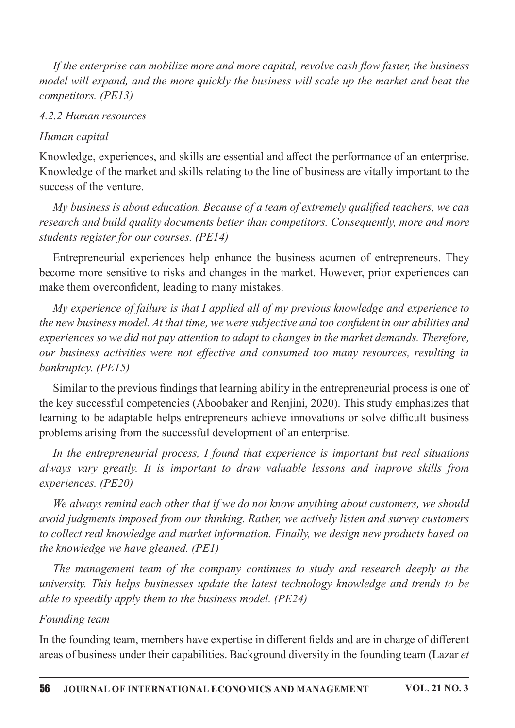If the enterprise can mobilize more and more capital, revolve cash flow faster, the business model will expand, and the more quickly the business will scale up the market and beat the competitors. (PE13)

#### 4.2.2 Human resources

#### Human capital

Knowledge, experiences, and skills are essential and affect the performance of an enterprise. Knowledge of the market and skills relating to the line of business are vitally important to the success of the venture.

My business is about education. Because of a team of extremely qualified teachers, we can research and build quality documents better than competitors. Consequently, more and more students register for our courses. (PE14)

Entrepreneurial experiences help enhance the business acumen of entrepreneurs. They become more sensitive to risks and changes in the market. However, prior experiences can make them overconfident, leading to many mistakes.

My experience of failure is that I applied all of my previous knowledge and experience to the new business model. At that time, we were subjective and too confident in our abilities and experiences so we did not pay attention to adapt to changes in the market demands. Therefore, our business activities were not effective and consumed too many resources, resulting in bankruptcy. (PE15)

Similar to the previous findings that learning ability in the entrepreneurial process is one of the key successful competencies (Aboobaker and Renjini, 2020). This study emphasizes that learning to be adaptable helps entrepreneurs achieve innovations or solve difficult business problems arising from the successful development of an enterprise.

In the entrepreneurial process, I found that experience is important but real situations always vary greatly. It is important to draw valuable lessons and improve skills from experiences. (PE20)

We always remind each other that if we do not know anything about customers, we should avoid judgments imposed from our thinking. Rather, we actively listen and survey customers to collect real knowledge and market information. Finally, we design new products based on the knowledge we have gleaned. (PE1)

The management team of the company continues to study and research deeply at the university. This helps businesses update the latest technology knowledge and trends to be able to speedily apply them to the business model. (PE24)

#### Founding team

In the founding team, members have expertise in different fields and are in charge of different areas of business under their capabilities. Background diversity in the founding team (Lazar et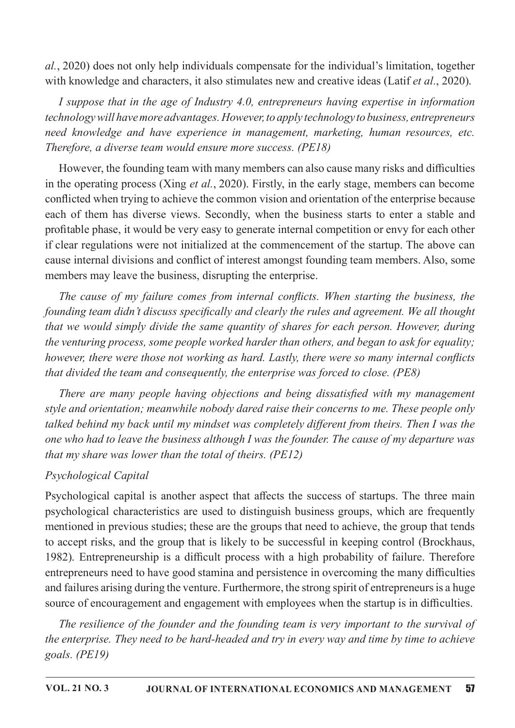al., 2020) does not only help individuals compensate for the individual's limitation, together with knowledge and characters, it also stimulates new and creative ideas (Latif et al., 2020).

I suppose that in the age of Industry 4.0, entrepreneurs having expertise in information technology will have more advantages. However, to apply technology to business, entrepreneurs need knowledge and have experience in management, marketing, human resources, etc. Therefore, a diverse team would ensure more success. (PE18)

However, the founding team with many members can also cause many risks and difficulties in the operating process (Xing *et al.*, 2020). Firstly, in the early stage, members can become conflicted when trying to achieve the common vision and orientation of the enterprise because each of them has diverse views. Secondly, when the business starts to enter a stable and profitable phase, it would be very easy to generate internal competition or envy for each other if clear regulations were not initialized at the commencement of the startup. The above can cause internal divisions and conflict of interest amongst founding team members. Also, some members may leave the business, disrupting the enterprise.

The cause of my failure comes from internal conflicts. When starting the business, the founding team didn't discuss specifically and clearly the rules and agreement. We all thought that we would simply divide the same quantity of shares for each person. However, during the venturing process, some people worked harder than others, and began to ask for equality; however, there were those not working as hard. Lastly, there were so many internal conflicts that divided the team and consequently, the enterprise was forced to close. (PE8)

There are many people having objections and being dissatisfied with my management style and orientation; meanwhile nobody dared raise their concerns to me. These people only talked behind my back until my mindset was completely different from theirs. Then I was the one who had to leave the business although I was the founder. The cause of my departure was that my share was lower than the total of theirs. (PE12)

## Psychological Capital

Psychological capital is another aspect that affects the success of startups. The three main psychological characteristics are used to distinguish business groups, which are frequently mentioned in previous studies; these are the groups that need to achieve, the group that tends to accept risks, and the group that is likely to be successful in keeping control (Brockhaus, 1982). Entrepreneurship is a difficult process with a high probability of failure. Therefore entrepreneurs need to have good stamina and persistence in overcoming the many difficulties and failures arising during the venture. Furthermore, the strong spirit of entrepreneurs is a huge source of encouragement and engagement with employees when the startup is in difficulties.

The resilience of the founder and the founding team is very important to the survival of the enterprise. They need to be hard-headed and try in every way and time by time to achieve goals.  $(PE19)$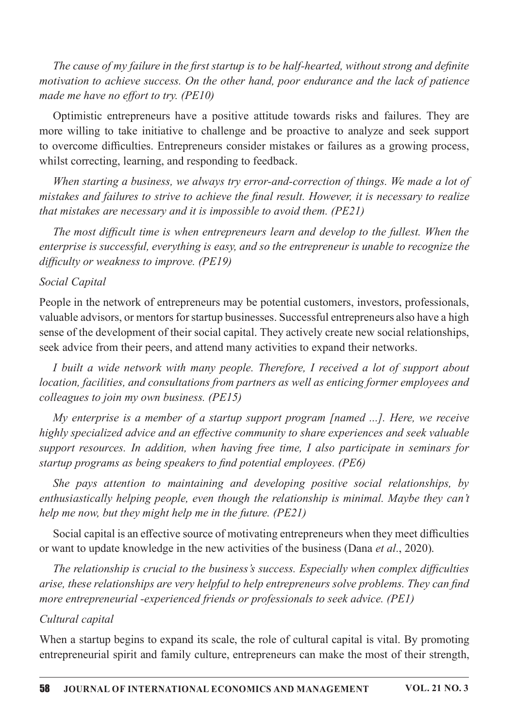The cause of my failure in the first startup is to be half-hearted, without strong and definite motivation to achieve success. On the other hand, poor endurance and the lack of patience made me have no effort to try. (PE10)

Optimistic entrepreneurs have a positive attitude towards risks and failures. They are more willing to take initiative to challenge and be proactive to analyze and seek support to overcome difficulties. Entrepreneurs consider mistakes or failures as a growing process, whilst correcting, learning, and responding to feedback.

When starting a business, we always try error-and-correction of things. We made a lot of mistakes and failures to strive to achieve the final result. However, it is necessary to realize that mistakes are necessary and it is impossible to avoid them.  $(PE21)$ 

The most difficult time is when entrepreneurs learn and develop to the fullest. When the enterprise is successful, everything is easy, and so the entrepreneur is unable to recognize the difficulty or weakness to improve.  $(PE19)$ 

#### Social Capital

People in the network of entrepreneurs may be potential customers, investors, professionals, valuable advisors, or mentors for startup businesses. Successful entrepreneurs also have a high sense of the development of their social capital. They actively create new social relationships, seek advice from their peers, and attend many activities to expand their networks.

I built a wide network with many people. Therefore, I received a lot of support about location, facilities, and consultations from partners as well as enticing former employees and colleagues to join my own business.  $(PE15)$ 

My enterprise is a member of a startup support program [named ...]. Here, we receive highly specialized advice and an effective community to share experiences and seek valuable support resources. In addition, when having free time, I also participate in seminars for startup programs as being speakers to find potential employees. (PE6)

She pays attention to maintaining and developing positive social relationships, by enthusiastically helping people, even though the relationship is minimal. Maybe they can't help me now, but they might help me in the future.  $(PE21)$ 

Social capital is an effective source of motivating entrepreneurs when they meet difficulties or want to update knowledge in the new activities of the business (Dana *et al.*, 2020).

The relationship is crucial to the business's success. Especially when complex difficulties arise, these relationships are very helpful to help entrepreneurs solve problems. They can find more entrepreneurial -experienced friends or professionals to seek advice.  $(PEI)$ 

#### Cultural capital

When a startup begins to expand its scale, the role of cultural capital is vital. By promoting entrepreneurial spirit and family culture, entrepreneurs can make the most of their strength,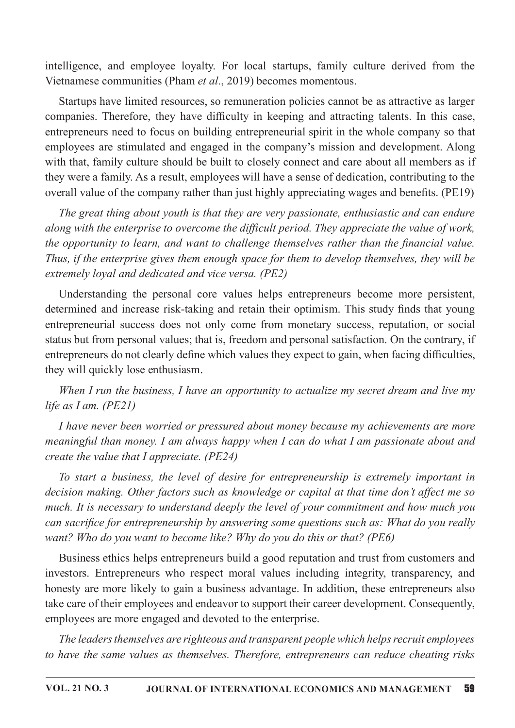intelligence, and employee loyalty. For local startups, family culture derived from the Vietnamese communities (Pham et al., 2019) becomes momentous.

Startups have limited resources, so remuneration policies cannot be as attractive as larger companies. Therefore, they have difficulty in keeping and attracting talents. In this case, entrepreneurs need to focus on building entrepreneurial spirit in the whole company so that employees are stimulated and engaged in the company's mission and development. Along with that, family culture should be built to closely connect and care about all members as if they were a family. As a result, employees will have a sense of dedication, contributing to the overall value of the company rather than just highly appreciating wages and benefits. (PE19)

The great thing about youth is that they are very passionate, enthusiastic and can endure along with the enterprise to overcome the difficult period. They appreciate the value of work, the opportunity to learn, and want to challenge themselves rather than the financial value. Thus, if the enterprise gives them enough space for them to develop themselves, they will be extremely loyal and dedicated and vice versa. (PE2)

Understanding the personal core values helps entrepreneurs become more persistent, determined and increase risk-taking and retain their optimism. This study finds that young entrepreneurial success does not only come from monetary success, reputation, or social status but from personal values; that is, freedom and personal satisfaction. On the contrary, if entrepreneurs do not clearly define which values they expect to gain, when facing difficulties, they will quickly lose enthusiasm.

When I run the business, I have an opportunity to actualize my secret dream and live my life as I am.  $(PE21)$ 

I have never been worried or pressured about money because my achievements are more meaningful than money. I am always happy when I can do what I am passionate about and create the value that I appreciate.  $(PE24)$ 

To start a business, the level of desire for entrepreneurship is extremely important in decision making. Other factors such as knowledge or capital at that time don't affect me so much. It is necessary to understand deeply the level of your commitment and how much you can sacrifice for entrepreneurship by answering some questions such as: What do you really want? Who do you want to become like? Why do you do this or that? (PE6)

Business ethics helps entrepreneurs build a good reputation and trust from customers and investors. Entrepreneurs who respect moral values including integrity, transparency, and honesty are more likely to gain a business advantage. In addition, these entrepreneurs also take care of their employees and endeavor to support their career development. Consequently, employees are more engaged and devoted to the enterprise.

The leaders themselves are righteous and transparent people which helps recruit employees to have the same values as themselves. Therefore, entrepreneurs can reduce cheating risks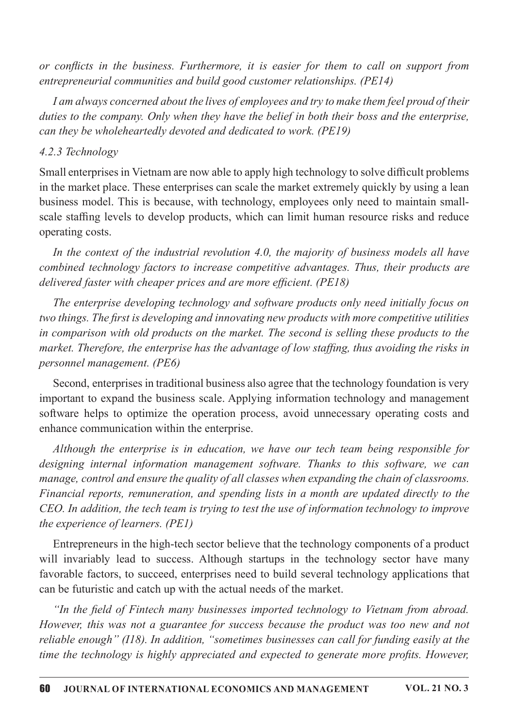or conflicts in the business. Furthermore, it is easier for them to call on support from entrepreneurial communities and build good customer relationships. (PE14)

I am always concerned about the lives of employees and try to make them feel proud of their duties to the company. Only when they have the belief in both their boss and the enterprise, can they be wholeheartedly devoted and dedicated to work. (PE19)

#### 4.2.3 Technology

Small enterprises in Vietnam are now able to apply high technology to solve difficult problems in the market place. These enterprises can scale the market extremely quickly by using a lean business model. This is because, with technology, employees only need to maintain smallscale staffing levels to develop products, which can limit human resource risks and reduce operating costs.

In the context of the industrial revolution 4.0, the majority of business models all have combined technology factors to increase competitive advantages. Thus, their products are delivered faster with cheaper prices and are more efficient. (PE18)

The enterprise developing technology and software products only need initially focus on two things. The first is developing and innovating new products with more competitive utilities in comparison with old products on the market. The second is selling these products to the market. Therefore, the enterprise has the advantage of low staffing, thus avoiding the risks in *personnel management. (PE6)* 

Second, enterprises in traditional business also agree that the technology foundation is very important to expand the business scale. Applying information technology and management software helps to optimize the operation process, avoid unnecessary operating costs and enhance communication within the enterprise.

Although the enterprise is in education, we have our tech team being responsible for designing internal information management software. Thanks to this software, we can manage, control and ensure the quality of all classes when expanding the chain of classrooms. Financial reports, remuneration, and spending lists in a month are updated directly to the CEO. In addition, the tech team is trying to test the use of information technology to improve the experience of learners. (PE1)

Entrepreneurs in the high-tech sector believe that the technology components of a product will invariably lead to success. Although startups in the technology sector have many favorable factors, to succeed, enterprises need to build several technology applications that can be futuristic and catch up with the actual needs of the market.

"In the field of Fintech many businesses imported technology to Vietnam from abroad. However, this was not a guarantee for success because the product was too new and not reliable enough" (118). In addition, "sometimes businesses can call for funding easily at the time the technology is highly appreciated and expected to generate more profits. However,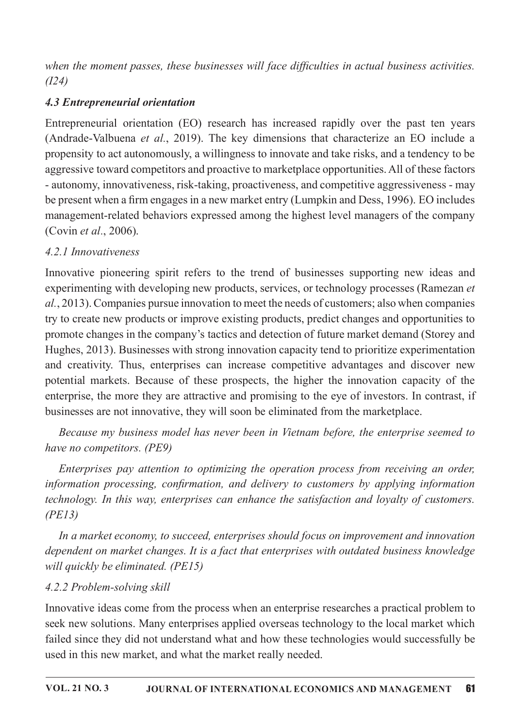when the moment passes, these businesses will face difficulties in actual business activities.  $(124)$ 

## **4.3 Entrepreneurial orientation**

Entrepreneurial orientation (EO) research has increased rapidly over the past ten years (Andrade-Valbuena et al., 2019). The key dimensions that characterize an EO include a propensity to act autonomously, a willingness to innovate and take risks, and a tendency to be aggressive toward competitors and proactive to marketplace opportunities. All of these factors - autonomy, innovativeness, risk-taking, proactiveness, and competitive aggressiveness - may be present when a firm engages in a new market entry (Lumpkin and Dess, 1996). EO includes management-related behaviors expressed among the highest level managers of the company (Covin et al., 2006).

## 4.2.1 Innovativeness

Innovative pioneering spirit refers to the trend of businesses supporting new ideas and experimenting with developing new products, services, or technology processes (Ramezan *et*)  $al., 2013$ ). Companies pursue innovation to meet the needs of customers; also when companies try to create new products or improve existing products, predict changes and opportunities to promote changes in the company's tactics and detection of future market demand (Storey and Hughes, 2013). Businesses with strong innovation capacity tend to prioritize experimentation and creativity. Thus, enterprises can increase competitive advantages and discover new potential markets. Because of these prospects, the higher the innovation capacity of the enterprise, the more they are attractive and promising to the eye of investors. In contrast, if businesses are not innovative, they will soon be eliminated from the marketplace.

Because my business model has never been in Vietnam before, the enterprise seemed to have no competitors. (PE9)

Enterprises pay attention to optimizing the operation process from receiving an order, information processing, confirmation, and delivery to customers by applying information technology. In this way, enterprises can enhance the satisfaction and loyalty of customers.  $(PEI3)$ 

In a market economy, to succeed, enterprises should focus on improvement and innovation dependent on market changes. It is a fact that enterprises with outdated business knowledge will quickly be eliminated.  $(PE15)$ 

## 4.2.2 Problem-solving skill

Innovative ideas come from the process when an enterprise researches a practical problem to seek new solutions. Many enterprises applied overseas technology to the local market which failed since they did not understand what and how these technologies would successfully be used in this new market, and what the market really needed.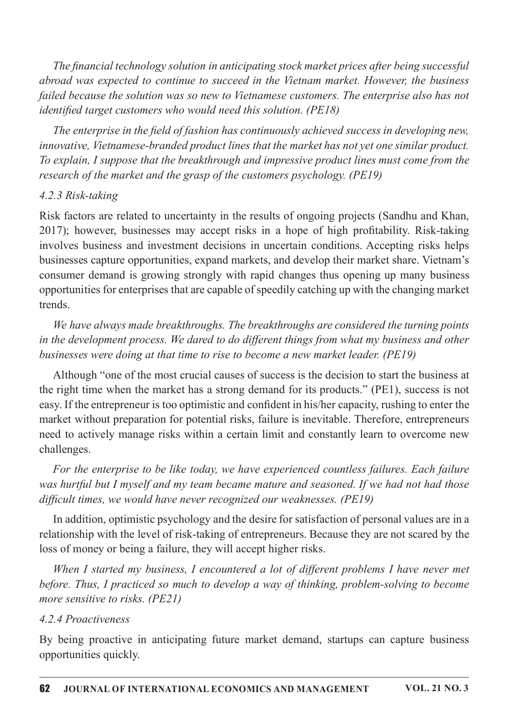The financial technology solution in anticipating stock market prices after being successful abroad was expected to continue to succeed in the Vietnam market. However, the business failed because the solution was so new to Vietnamese customers. The enterprise also has not *identified target customers who would need this solution. (PE18)* 

The enterprise in the field of fashion has continuously achieved success in developing new, innovative, Vietnamese-branded product lines that the market has not yet one similar product. To explain, I suppose that the breakthrough and impressive product lines must come from the research of the market and the grasp of the customers psychology. (PE19)

#### 4.2.3 Risk-taking

Risk factors are related to uncertainty in the results of ongoing projects (Sandhu and Khan, 2017); however, businesses may accept risks in a hope of high profitability. Risk-taking involves business and investment decisions in uncertain conditions. Accepting risks helps businesses capture opportunities, expand markets, and develop their market share. Vietnam's consumer demand is growing strongly with rapid changes thus opening up many business opportunities for enterprises that are capable of speedily catching up with the changing market trends.

We have always made breakthroughs. The breakthroughs are considered the turning points in the development process. We dared to do different things from what my business and other businesses were doing at that time to rise to become a new market leader. (PE19)

Although "one of the most crucial causes of success is the decision to start the business at the right time when the market has a strong demand for its products." (PE1), success is not easy. If the entrepreneur is too optimistic and confident in his/her capacity, rushing to enter the market without preparation for potential risks, failure is inevitable. Therefore, entrepreneurs need to actively manage risks within a certain limit and constantly learn to overcome new challenges.

For the enterprise to be like today, we have experienced countless failures. Each failure was hurtful but I myself and my team became mature and seasoned. If we had not had those difficult times, we would have never recognized our weaknesses. (PE19)

In addition, optimistic psychology and the desire for satisfaction of personal values are in a relationship with the level of risk-taking of entrepreneurs. Because they are not scared by the loss of money or being a failure, they will accept higher risks.

When I started my business, I encountered a lot of different problems I have never met before. Thus, I practiced so much to develop a way of thinking, problem-solving to become more sensitive to risks. (PE21)

### 4.2.4 Proactiveness

By being proactive in anticipating future market demand, startups can capture business opportunities quickly.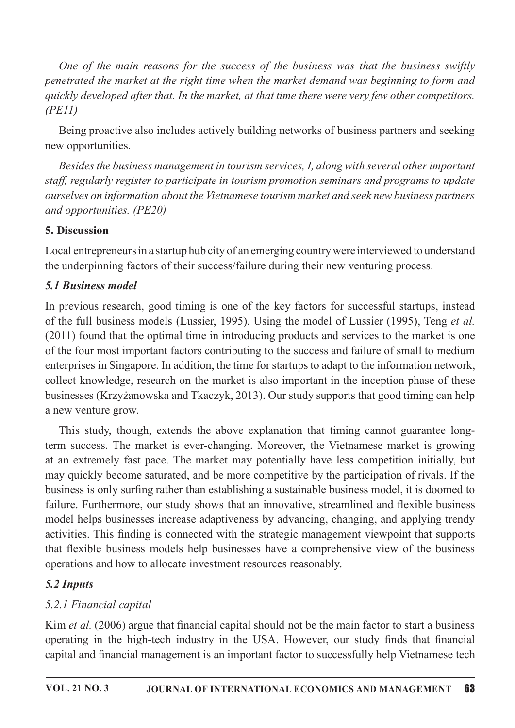One of the main reasons for the success of the business was that the business swiftly penetrated the market at the right time when the market demand was beginning to form and quickly developed after that. In the market, at that time there were very few other competitors.  $(PE11)$ 

Being proactive also includes actively building networks of business partners and seeking new opportunities.

Besides the business management in tourism services, I, along with several other important staff, regularly register to participate in tourism promotion seminars and programs to update ourselves on information about the Vietnamese tourism market and seek new business partners and opportunities. (PE20)

### 5. Discussion

Local entrepreneurs in a startup hub city of an emerging country were interviewed to understand the underpinning factors of their success/failure during their new venturing process.

## **5.1 Business model**

In previous research, good timing is one of the key factors for successful startups, instead of the full business models (Lussier, 1995). Using the model of Lussier (1995), Teng et al. (2011) found that the optimal time in introducing products and services to the market is one of the four most important factors contributing to the success and failure of small to medium enterprises in Singapore. In addition, the time for startups to adapt to the information network, collect knowledge, research on the market is also important in the inception phase of these businesses (Krzyżanowska and Tkaczyk, 2013). Our study supports that good timing can help a new venture grow.

This study, though, extends the above explanation that timing cannot guarantee longterm success. The market is ever-changing. Moreover, the Vietnamese market is growing at an extremely fast pace. The market may potentially have less competition initially, but may quickly become saturated, and be more competitive by the participation of rivals. If the business is only surfing rather than establishing a sustainable business model, it is doomed to failure. Furthermore, our study shows that an innovative, streamlined and flexible business model helps businesses increase adaptiveness by advancing, changing, and applying trendy activities. This finding is connected with the strategic management viewpoint that supports that flexible business models help businesses have a comprehensive view of the business operations and how to allocate investment resources reasonably.

## 5.2 Inputs

## 5.2.1 Financial capital

Kim et al. (2006) argue that financial capital should not be the main factor to start a business operating in the high-tech industry in the USA. However, our study finds that financial capital and financial management is an important factor to successfully help Vietnamese tech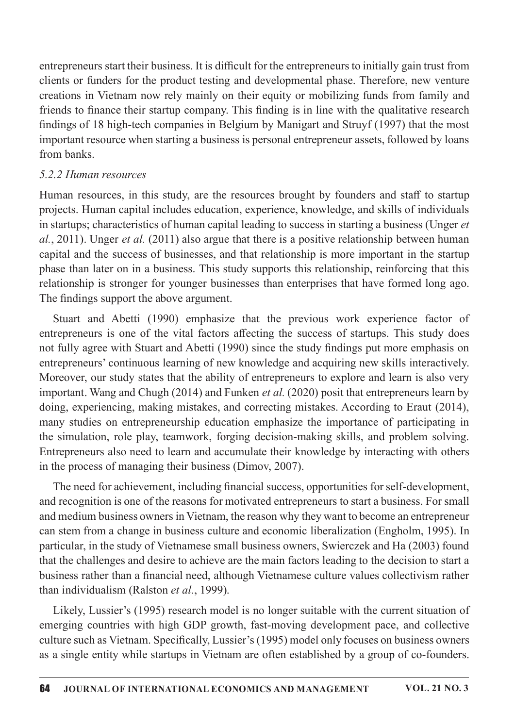entrepreneurs start their business. It is difficult for the entrepreneurs to initially gain trust from clients or funders for the product testing and developmental phase. Therefore, new venture creations in Vietnam now rely mainly on their equity or mobilizing funds from family and friends to finance their startup company. This finding is in line with the qualitative research findings of 18 high-tech companies in Belgium by Manigart and Struyf (1997) that the most important resource when starting a business is personal entrepreneur assets, followed by loans from banks.

#### 5.2.2 Human resources

Human resources, in this study, are the resources brought by founders and staff to startup projects. Human capital includes education, experience, knowledge, and skills of individuals in startups; characteristics of human capital leading to success in starting a business (Unger et al., 2011). Unger et al. (2011) also argue that there is a positive relationship between human capital and the success of businesses, and that relationship is more important in the startup phase than later on in a business. This study supports this relationship, reinforcing that this relationship is stronger for younger businesses than enterprises that have formed long ago. The findings support the above argument.

Stuart and Abetti (1990) emphasize that the previous work experience factor of entrepreneurs is one of the vital factors affecting the success of startups. This study does not fully agree with Stuart and Abetti (1990) since the study findings put more emphasis on entrepreneurs' continuous learning of new knowledge and acquiring new skills interactively. Moreover, our study states that the ability of entrepreneurs to explore and learn is also very important. Wang and Chugh (2014) and Funken *et al.* (2020) posit that entrepreneurs learn by doing, experiencing, making mistakes, and correcting mistakes. According to Eraut (2014), many studies on entrepreneurship education emphasize the importance of participating in the simulation, role play, teamwork, forging decision-making skills, and problem solving. Entrepreneurs also need to learn and accumulate their knowledge by interacting with others in the process of managing their business (Dimov, 2007).

The need for achievement, including financial success, opportunities for self-development, and recognition is one of the reasons for motivated entrepreneurs to start a business. For small and medium business owners in Vietnam, the reason why they want to become an entrepreneur can stem from a change in business culture and economic liberalization (Engholm, 1995). In particular, in the study of Vietnamese small business owners, Swierczek and Ha (2003) found that the challenges and desire to achieve are the main factors leading to the decision to start a business rather than a financial need, although Vietnamese culture values collectivism rather than individualism (Ralston et al., 1999).

Likely, Lussier's (1995) research model is no longer suitable with the current situation of emerging countries with high GDP growth, fast-moving development pace, and collective culture such as Vietnam. Specifically, Lussier's (1995) model only focuses on business owners as a single entity while startups in Vietnam are often established by a group of co-founders.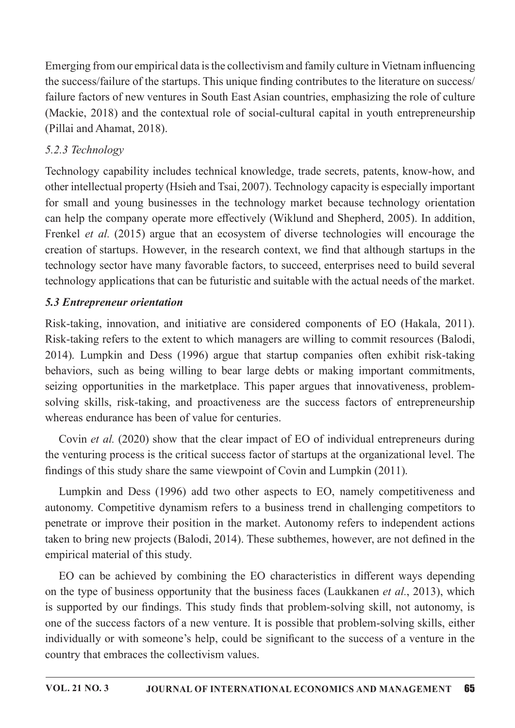Emerging from our empirical data is the collectivism and family culture in Vietnam influencing the success/failure of the startups. This unique finding contributes to the literature on success/ failure factors of new ventures in South East Asian countries, emphasizing the role of culture (Mackie, 2018) and the contextual role of social-cultural capital in youth entrepreneurship (Pillai and Ahamat, 2018).

## 5.2.3 Technology

Technology capability includes technical knowledge, trade secrets, patents, know-how, and other intellectual property (Hsieh and Tsai, 2007). Technology capacity is especially important for small and young businesses in the technology market because technology orientation can help the company operate more effectively (Wiklund and Shepherd, 2005). In addition, Frenkel *et al.* (2015) argue that an ecosystem of diverse technologies will encourage the creation of startups. However, in the research context, we find that although startups in the technology sector have many favorable factors, to succeed, enterprises need to build several technology applications that can be futuristic and suitable with the actual needs of the market.

## 5.3 Entrepreneur orientation

Risk-taking, innovation, and initiative are considered components of EO (Hakala, 2011). Risk-taking refers to the extent to which managers are willing to commit resources (Balodi, 2014). Lumpkin and Dess (1996) argue that startup companies often exhibit risk-taking behaviors, such as being willing to bear large debts or making important commitments, seizing opportunities in the marketplace. This paper argues that innovativeness, problemsolving skills, risk-taking, and proactiveness are the success factors of entrepreneurship whereas endurance has been of value for centuries.

Covin *et al.* (2020) show that the clear impact of EO of individual entrepreneurs during the venturing process is the critical success factor of startups at the organizational level. The findings of this study share the same viewpoint of Covin and Lumpkin (2011).

Lumpkin and Dess (1996) add two other aspects to EO, namely competitiveness and autonomy. Competitive dynamism refers to a business trend in challenging competitors to penetrate or improve their position in the market. Autonomy refers to independent actions taken to bring new projects (Balodi, 2014). These subthemes, however, are not defined in the empirical material of this study.

EO can be achieved by combining the EO characteristics in different ways depending on the type of business opportunity that the business faces (Laukkanen *et al.*, 2013), which is supported by our findings. This study finds that problem-solving skill, not autonomy, is one of the success factors of a new venture. It is possible that problem-solving skills, either individually or with someone's help, could be significant to the success of a venture in the country that embraces the collectivism values.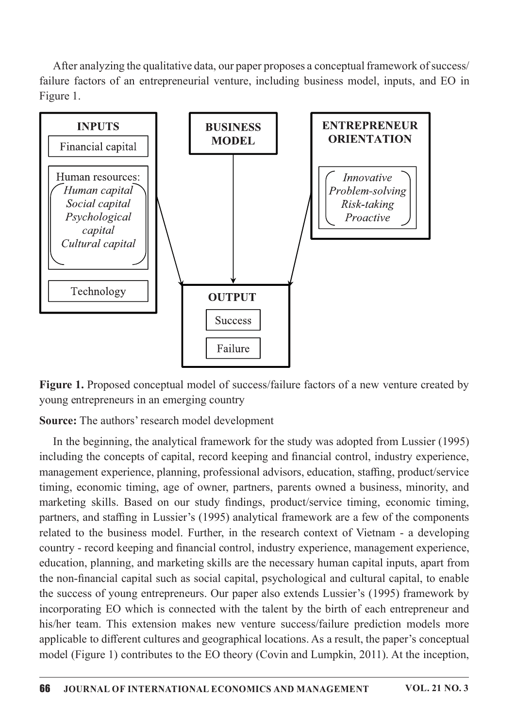After analyzing the qualitative data, our paper proposes a conceptual framework of success/ failure factors of an entrepreneurial venture, including business model, inputs, and EO in Figure 1.



Figure 1. Proposed conceptual model of success/failure factors of a new venture created by young entrepreneurs in an emerging country

**Source:** The authors' research model development

In the beginning, the analytical framework for the study was adopted from Lussier (1995) including the concepts of capital, record keeping and financial control, industry experience, management experience, planning, professional advisors, education, staffing, product/service timing, economic timing, age of owner, partners, parents owned a business, minority, and marketing skills. Based on our study findings, product/service timing, economic timing, partners, and staffing in Lussier's (1995) analytical framework are a few of the components related to the business model. Further, in the research context of Vietnam - a developing country - record keeping and financial control, industry experience, management experience, education, planning, and marketing skills are the necessary human capital inputs, apart from the non-financial capital such as social capital, psychological and cultural capital, to enable the success of young entrepreneurs. Our paper also extends Lussier's (1995) framework by incorporating EO which is connected with the talent by the birth of each entrepreneur and his/her team. This extension makes new venture success/failure prediction models more applicable to different cultures and geographical locations. As a result, the paper's conceptual model (Figure 1) contributes to the EO theory (Covin and Lumpkin, 2011). At the inception,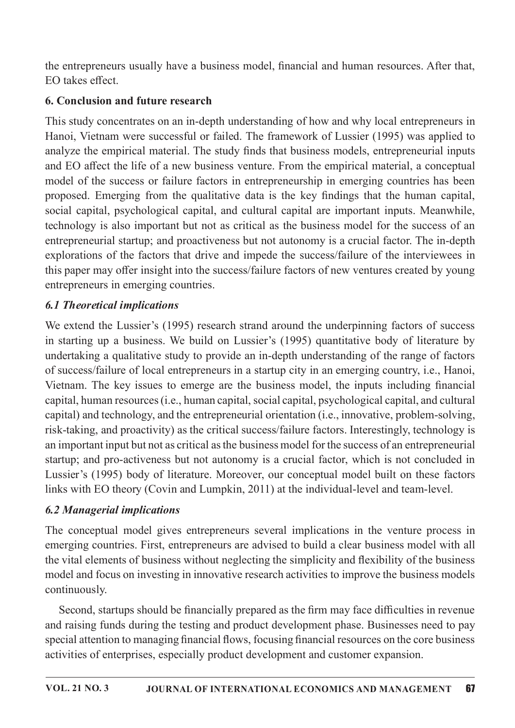the entrepreneurs usually have a business model, financial and human resources. After that, EO takes effect.

## 6. Conclusion and future research

This study concentrates on an in-depth understanding of how and why local entrepreneurs in Hanoi, Vietnam were successful or failed. The framework of Lussier (1995) was applied to analyze the empirical material. The study finds that business models, entrepreneurial inputs and EO affect the life of a new business venture. From the empirical material, a conceptual model of the success or failure factors in entrepreneurship in emerging countries has been proposed. Emerging from the qualitative data is the key findings that the human capital, social capital, psychological capital, and cultural capital are important inputs. Meanwhile, technology is also important but not as critical as the business model for the success of an entrepreneurial startup; and proactiveness but not autonomy is a crucial factor. The in-depth explorations of the factors that drive and impede the success/failure of the interviewees in this paper may offer insight into the success/failure factors of new ventures created by young entrepreneurs in emerging countries.

## **6.1 Theoretical implications**

We extend the Lussier's (1995) research strand around the underpinning factors of success in starting up a business. We build on Lussier's (1995) quantitative body of literature by undertaking a qualitative study to provide an in-depth understanding of the range of factors of success/failure of local entrepreneurs in a startup city in an emerging country, i.e., Hanoi, Vietnam. The key issues to emerge are the business model, the inputs including financial capital, human resources (i.e., human capital, social capital, psychological capital, and cultural capital) and technology, and the entrepreneurial orientation (i.e., innovative, problem-solving, risk-taking, and proactivity) as the critical success/failure factors. Interestingly, technology is an important input but not as critical as the business model for the success of an entrepreneurial startup; and pro-activeness but not autonomy is a crucial factor, which is not concluded in Lussier's (1995) body of literature. Moreover, our conceptual model built on these factors links with EO theory (Covin and Lumpkin, 2011) at the individual-level and team-level.

## **6.2 Managerial implications**

The conceptual model gives entrepreneurs several implications in the venture process in emerging countries. First, entrepreneurs are advised to build a clear business model with all the vital elements of business without neglecting the simplicity and flexibility of the business model and focus on investing in innovative research activities to improve the business models continuously.

Second, startups should be financially prepared as the firm may face difficulties in revenue and raising funds during the testing and product development phase. Businesses need to pay special attention to managing financial flows, focusing financial resources on the core business activities of enterprises, especially product development and customer expansion.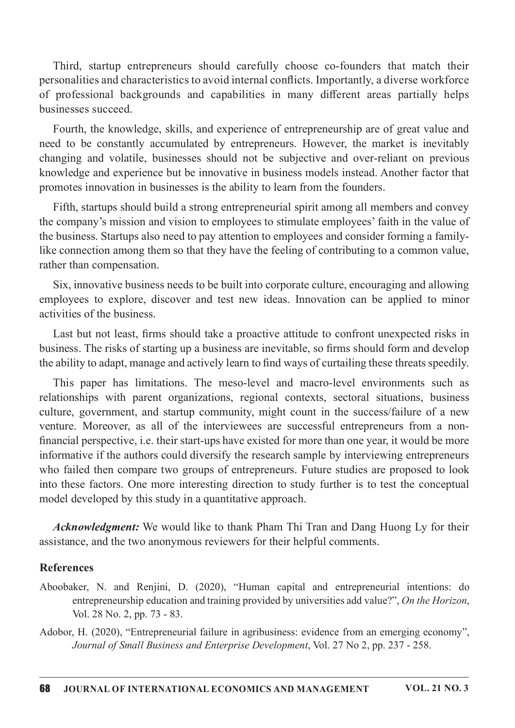Third, startup entrepreneurs should carefully choose co-founders that match their personalities and characteristics to avoid internal conflicts. Importantly, a diverse workforce of professional backgrounds and capabilities in many different areas partially helps businesses succeed.

Fourth, the knowledge, skills, and experience of entrepreneurship are of great value and need to be constantly accumulated by entrepreneurs. However, the market is inevitably changing and volatile, businesses should not be subjective and over-reliant on previous knowledge and experience but be innovative in business models instead. Another factor that promotes innovation in businesses is the ability to learn from the founders.

Fifth, startups should build a strong entrepreneurial spirit among all members and convey the company's mission and vision to employees to stimulate employees' faith in the value of the business. Startups also need to pay attention to employees and consider forming a familylike connection among them so that they have the feeling of contributing to a common value, rather than compensation.

Six, innovative business needs to be built into corporate culture, encouraging and allowing employees to explore, discover and test new ideas. Innovation can be applied to minor activities of the business.

Last but not least, firms should take a proactive attitude to confront unexpected risks in business. The risks of starting up a business are inevitable, so firms should form and develop the ability to adapt, manage and actively learn to find ways of curtailing these threats speedily.

This paper has limitations. The meso-level and macro-level environments such as relationships with parent organizations, regional contexts, sectoral situations, business culture, government, and startup community, might count in the success/failure of a new venture. Moreover, as all of the interviewees are successful entrepreneurs from a nonfinancial perspective, i.e. their start-ups have existed for more than one year, it would be more informative if the authors could diversify the research sample by interviewing entrepreneurs who failed then compare two groups of entrepreneurs. Future studies are proposed to look into these factors. One more interesting direction to study further is to test the conceptual model developed by this study in a quantitative approach.

*Acknowledgment:* We would like to thank Pham Thi Tran and Dang Huong Ly for their assistance, and the two anonymous reviewers for their helpful comments.

#### **References**

- Aboobaker, N. and Renjini, D. (2020), "Human capital and entrepreneurial intentions: do entrepreneurship education and training provided by universities add value?", On the Horizon, Vol. 28 No. 2, pp. 73 - 83.
- Adobor, H. (2020), "Entrepreneurial failure in agribusiness: evidence from an emerging economy", Journal of Small Business and Enterprise Development, Vol. 27 No 2, pp. 237 - 258.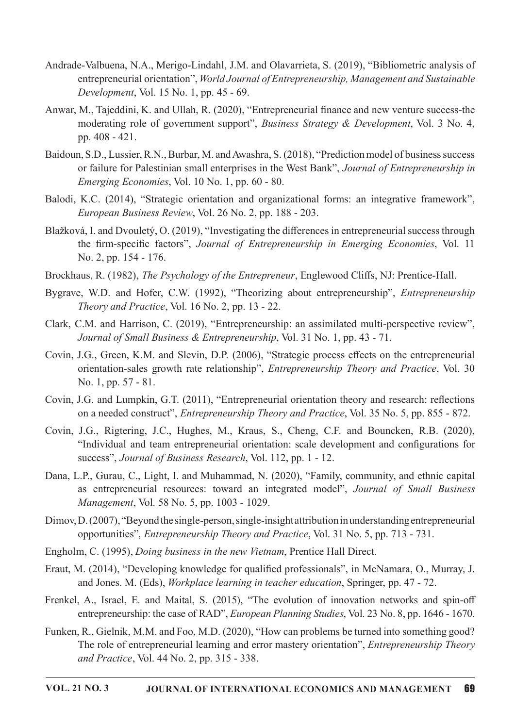- Andrade-Valbuena, N.A., Merigo-Lindahl, J.M. and Olavarrieta, S. (2019), "Bibliometric analysis of entrepreneurial orientation", World Journal of Entrepreneurship, Management and Sustainable Development, Vol. 15 No. 1, pp. 45 - 69.
- Anwar, M., Tajeddini, K. and Ullah, R. (2020), "Entrepreneurial finance and new venture success-the moderating role of government support", Business Strategy & Development, Vol. 3 No. 4, pp. 408 - 421.
- Baidoun, S.D., Lussier, R.N., Burbar, M. and Awashra, S. (2018), "Prediction model of business success or failure for Palestinian small enterprises in the West Bank", Journal of Entrepreneurship in *Emerging Economies, Vol. 10 No. 1, pp. 60 - 80.*
- Balodi, K.C. (2014), "Strategic orientation and organizational forms: an integrative framework", European Business Review, Vol. 26 No. 2, pp. 188 - 203.
- Blažková, I. and Dvouletý, O. (2019), "Investigating the differences in entrepreneurial success through the firm-specific factors", Journal of Entrepreneurship in Emerging Economies, Vol. 11 No. 2, pp. 154 - 176.
- Brockhaus, R. (1982), The Psychology of the Entrepreneur, Englewood Cliffs, NJ: Prentice-Hall.
- Bygrave, W.D. and Hofer, C.W. (1992), "Theorizing about entrepreneurship", *Entrepreneurship Theory and Practice, Vol. 16 No. 2, pp. 13 - 22.*
- Clark, C.M. and Harrison, C. (2019), "Entrepreneurship: an assimilated multi-perspective review", Journal of Small Business & Entrepreneurship, Vol. 31 No. 1, pp. 43 - 71.
- Covin, J.G., Green, K.M. and Slevin, D.P. (2006), "Strategic process effects on the entrepreneurial orientation-sales growth rate relationship", Entrepreneurship Theory and Practice, Vol. 30 No. 1, pp. 57 - 81.
- Covin, J.G. and Lumpkin, G.T. (2011), "Entrepreneurial orientation theory and research: reflections on a needed construct", *Entrepreneurship Theory and Practice*, Vol. 35 No. 5, pp. 855 - 872.
- Covin, J.G., Rigtering, J.C., Hughes, M., Kraus, S., Cheng, C.F. and Bouncken, R.B. (2020), "Individual and team entrepreneurial orientation: scale development and configurations for success", Journal of Business Research, Vol. 112, pp. 1 - 12.
- Dana, L.P., Gurau, C., Light, I. and Muhammad, N. (2020), "Family, community, and ethnic capital as entrepreneurial resources: toward an integrated model", Journal of Small Business Management, Vol. 58 No. 5, pp. 1003 - 1029.
- Dimov, D. (2007), "Beyond the single-person, single-insight attribution in understanding entrepreneurial opportunities", Entrepreneurship Theory and Practice, Vol. 31 No. 5, pp. 713 - 731.
- Engholm, C. (1995), *Doing business in the new Vietnam*, Prentice Hall Direct.
- Eraut, M. (2014), "Developing knowledge for qualified professionals", in McNamara, O., Murray, J. and Jones. M. (Eds), *Workplace learning in teacher education*, Springer, pp. 47 - 72.
- Frenkel, A., Israel, E. and Maital, S. (2015), "The evolution of innovation networks and spin-off entrepreneurship: the case of RAD", *European Planning Studies*, Vol. 23 No. 8, pp. 1646 - 1670.
- Funken, R., Gielnik, M.M. and Foo, M.D. (2020), "How can problems be turned into something good? The role of entrepreneurial learning and error mastery orientation", *Entrepreneurship Theory* and Practice, Vol. 44 No. 2, pp. 315 - 338.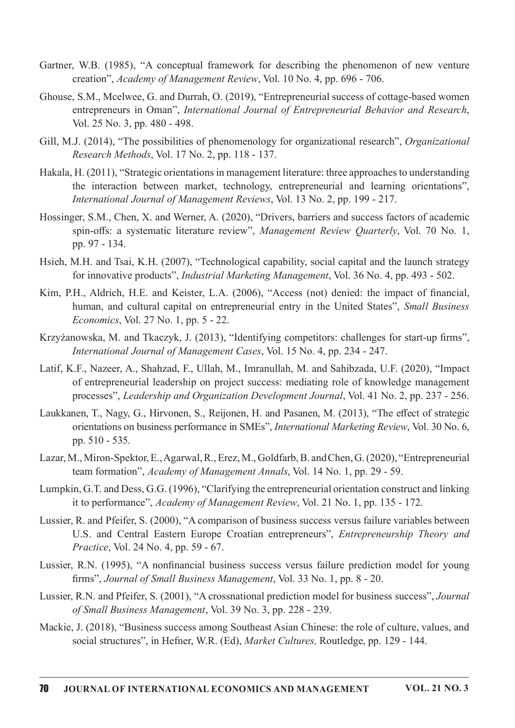- Gartner, W.B. (1985), "A conceptual framework for describing the phenomenon of new venture creation", Academy of Management Review, Vol. 10 No. 4, pp. 696 - 706.
- Ghouse, S.M., Mcelwee, G. and Durrah, O. (2019), "Entrepreneurial success of cottage-based women entrepreneurs in Oman", International Journal of Entrepreneurial Behavior and Research, Vol.25No.3,pp.480-498.
- Gill, M.J. (2014), "The possibilities of phenomenology for organizational research", Organizational  $Research Methods, Vol. 17 No. 2, pp. 118 - 137.$
- Hakala, H. (2011), "Strategic orientations in management literature: three approaches to understanding the interaction between market, technology, entrepreneurial and learning orientations", International Journal of Management Reviews, Vol. 13 No. 2, pp. 199 - 217.
- Hossinger, S.M., Chen, X. and Werner, A. (2020), "Drivers, barriers and success factors of academic spin-offs: a systematic literature review", Management Review Quarterly, Vol. 70 No. 1, pp. 97 - 134.
- Hsieh, M.H. and Tsai, K.H. (2007), "Technological capability, social capital and the launch strategy for innovative products", *Industrial Marketing Management*, Vol. 36 No. 4, pp. 493 - 502.
- Kim, P.H., Aldrich, H.E. and Keister, L.A. (2006), "Access (not) denied: the impact of financial, human, and cultural capital on entrepreneurial entry in the United States", Small Business  $Economics, Vol. 27 No. 1, pp. 5 - 22.$
- Krzyżanowska, M. and Tkaczyk, J. (2013), "Identifying competitors: challenges for start-up firms", International Journal of Management Cases, Vol. 15 No. 4, pp. 234 - 247.
- Latif, K.F., Nazeer, A., Shahzad, F., Ullah, M., Imranullah, M. and Sahibzada, U.F. (2020), "Impact of entrepreneurial leadership on project success: mediating role of knowledge management processes", Leadership and Organization Development Journal, Vol. 41 No. 2, pp. 237 - 256.
- Laukkanen, T., Nagy, G., Hirvonen, S., Reijonen, H. and Pasanen, M. (2013), "The effect of strategic orientations on business performance in SMEs", International Marketing Review, Vol. 30 No. 6, pp. 510 - 535.
- Lazar,M.,Miron-Spektor,E.,Agarwal,R.,Erez,M.,Goldfarb,B.andChen,G.(2020),"Entrepreneurial team formation", Academy of Management Annals, Vol. 14 No. 1, pp. 29 - 59.
- Lumpkin, G.T. and Dess, G.G. (1996), "Clarifying the entrepreneurial orientation construct and linking it to performance", Academy of Management Review, Vol. 21 No. 1, pp. 135 - 172.
- Lussier, R. and Pfeifer, S. (2000), "A comparison of business success versus failure variables between U.S. and Central Eastern Europe Croatian entrepreneurs", *Entrepreneurship Theory and* Practice, Vol. 24 No. 4, pp. 59 - 67.
- Lussier, R.N. (1995), "A nonfinancial business success versus failure prediction model for young firms", Journal of Small Business Management, Vol. 33 No. 1, pp. 8 - 20.
- Lussier, R.N. and Pfeifer, S. (2001), "A crossnational prediction model for business success", Journal of Small Business Management, Vol. 39 No. 3, pp. 228 - 239.
- Mackie, J. (2018), "Business success among Southeast Asian Chinese: the role of culture, values, and social structures", in Hefner, W.R. (Ed), Market Cultures, Routledge, pp. 129 - 144.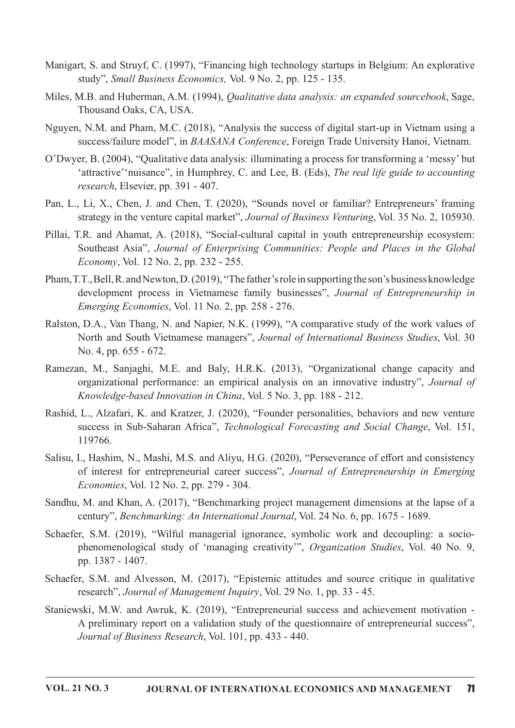- Manigart, S. and Struyf, C. (1997), "Financing high technology startups in Belgium: An explorative study", Small Business Economics, Vol. 9 No. 2, pp. 125 - 135.
- Miles, M.B. and Huberman, A.M. (1994), Qualitative data analysis: an expanded sourcebook, Sage, Thousand Oaks, CA, USA.
- Nguyen, N.M. and Pham, M.C. (2018), "Analysis the success of digital start-up in Vietnam using a success/failure model", in BAASANA Conference, Foreign Trade University Hanoi, Vietnam.
- O'Dwyer, B. (2004). "Oualitative data analysis: illuminating a process for transforming a 'messy' but 'attractive''nuisance", in Humphrey, C. and Lee, B. (Eds), The real life guide to accounting research, Elsevier, pp. 391 - 407.
- Pan, L., Li, X., Chen, J. and Chen, T. (2020), "Sounds novel or familiar? Entrepreneurs' framing strategy in the venture capital market", Journal of Business Venturing, Vol. 35 No. 2, 105930.
- Pillai, T.R. and Ahamat, A. (2018), "Social-cultural capital in youth entrepreneurship ecosystem: Southeast Asia", Journal of Enterprising Communities: People and Places in the Global Economy, Vol. 12 No. 2, pp. 232 - 255.
- Pham, T.T., Bell, R. and Newton, D. (2019), "The father's role in supporting the son's business knowledge development process in Vietnamese family businesses", Journal of Entrepreneurship in *Emerging Economies, Vol. 11 No. 2, pp. 258 - 276.*
- Ralston, D.A., Van Thang, N. and Napier, N.K. (1999), "A comparative study of the work values of North and South Vietnamese managers", Journal of International Business Studies, Vol. 30 No. 4, pp. 655 - 672.
- Ramezan, M., Sanjaghi, M.E. and Baly, H.R.K. (2013), "Organizational change capacity and organizational performance: an empirical analysis on an innovative industry", Journal of Knowledge-based Innovation in China, Vol. 5 No. 3, pp. 188 - 212.
- Rashid, L., Alzafari, K. and Kratzer, J. (2020), "Founder personalities, behaviors and new venture success in Sub-Saharan Africa", Technological Forecasting and Social Change, Vol. 151, 119766.
- Salisu, I., Hashim, N., Mashi, M.S. and Aliyu, H.G. (2020), "Perseverance of effort and consistency of interest for entrepreneurial career success", Journal of Entrepreneurship in Emerging *Economies*, Vol. 12 No. 2, pp. 279 - 304.
- Sandhu, M. and Khan, A. (2017), "Benchmarking project management dimensions at the lapse of a century", Benchmarking: An International Journal, Vol. 24 No. 6, pp. 1675 - 1689.
- Schaefer, S.M. (2019), "Wilful managerial ignorance, symbolic work and decoupling: a sociophenomenological study of 'managing creativity'", Organization Studies, Vol. 40 No. 9, pp. 1387 - 1407.
- Schaefer, S.M. and Alvesson, M. (2017), "Epistemic attitudes and source critique in qualitative research", Journal of Management Inquiry, Vol. 29 No. 1, pp. 33 - 45.
- Staniewski, M.W. and Awruk, K. (2019), "Entrepreneurial success and achievement motivation -A preliminary report on a validation study of the questionnaire of entrepreneurial success", Journal of Business Research, Vol. 101, pp. 433 - 440.